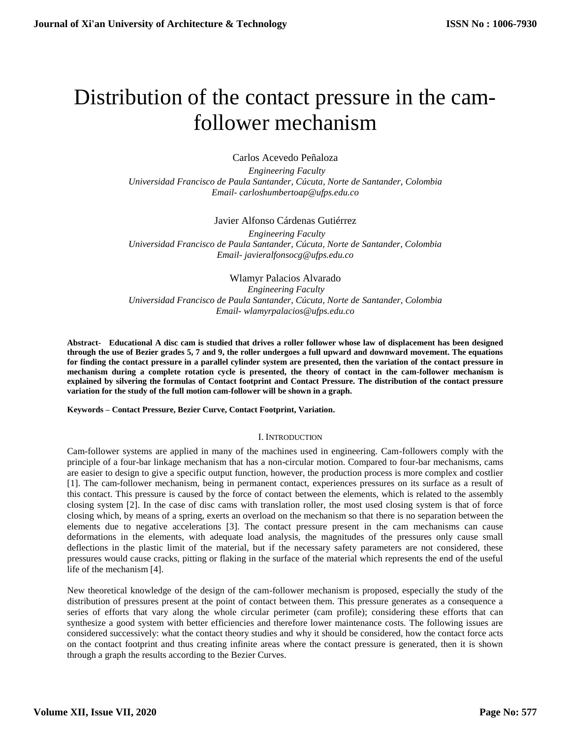# Distribution of the contact pressure in the camfollower mechanism

Carlos Acevedo Peñaloza

 *Engineering Faculty Universidad Francisco de Paula Santander, Cúcuta, Norte de Santander, Colombia Email- carloshumbertoap@ufps.edu.co*

Javier Alfonso Cárdenas Gutiérrez

 *Engineering Faculty Universidad Francisco de Paula Santander, Cúcuta, Norte de Santander, Colombia Email- javieralfonsocg@ufps.edu.co*

Wlamyr Palacios Alvarado *Engineering Faculty Universidad Francisco de Paula Santander, Cúcuta, Norte de Santander, Colombia Email- wlamyrpalacios@ufps.edu.co*

**Abstract- Educational A disc cam is studied that drives a roller follower whose law of displacement has been designed through the use of Bezier grades 5, 7 and 9, the roller undergoes a full upward and downward movement. The equations for finding the contact pressure in a parallel cylinder system are presented, then the variation of the contact pressure in mechanism during a complete rotation cycle is presented, the theory of contact in the cam-follower mechanism is explained by silvering the formulas of Contact footprint and Contact Pressure. The distribution of the contact pressure variation for the study of the full motion cam-follower will be shown in a graph.**

**Keywords – Contact Pressure, Bezier Curve, Contact Footprint, Variation.**

## I. INTRODUCTION

Cam-follower systems are applied in many of the machines used in engineering. Cam-followers comply with the principle of a four-bar linkage mechanism that has a non-circular motion. Compared to four-bar mechanisms, cams are easier to design to give a specific output function, however, the production process is more complex and costlier [1]. The cam-follower mechanism, being in permanent contact, experiences pressures on its surface as a result of this contact. This pressure is caused by the force of contact between the elements, which is related to the assembly closing system [2]. In the case of disc cams with translation roller, the most used closing system is that of force closing which, by means of a spring, exerts an overload on the mechanism so that there is no separation between the elements due to negative accelerations [3]. The contact pressure present in the cam mechanisms can cause deformations in the elements, with adequate load analysis, the magnitudes of the pressures only cause small deflections in the plastic limit of the material, but if the necessary safety parameters are not considered, these pressures would cause cracks, pitting or flaking in the surface of the material which represents the end of the useful life of the mechanism [4].

New theoretical knowledge of the design of the cam-follower mechanism is proposed, especially the study of the distribution of pressures present at the point of contact between them. This pressure generates as a consequence a series of efforts that vary along the whole circular perimeter (cam profile); considering these efforts that can synthesize a good system with better efficiencies and therefore lower maintenance costs. The following issues are considered successively: what the contact theory studies and why it should be considered, how the contact force acts on the contact footprint and thus creating infinite areas where the contact pressure is generated, then it is shown through a graph the results according to the Bezier Curves.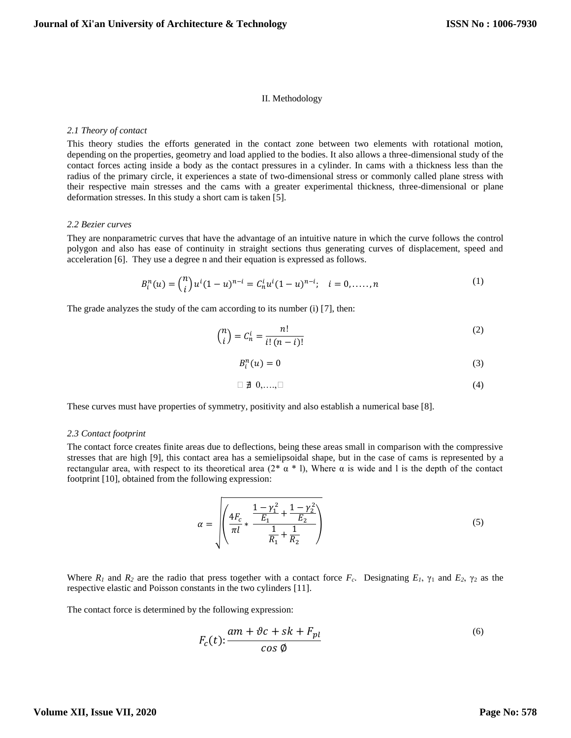## II. Methodology

## *2.1 Theory of contact*

This theory studies the efforts generated in the contact zone between two elements with rotational motion, depending on the properties, geometry and load applied to the bodies. It also allows a three-dimensional study of the contact forces acting inside a body as the contact pressures in a cylinder. In cams with a thickness less than the radius of the primary circle, it experiences a state of two-dimensional stress or commonly called plane stress with their respective main stresses and the cams with a greater experimental thickness, three-dimensional or plane deformation stresses. In this study a short cam is taken [5].

## *2.2 Bezier curves*

They are nonparametric curves that have the advantage of an intuitive nature in which the curve follows the control polygon and also has ease of continuity in straight sections thus generating curves of displacement, speed and acceleration [6]. They use a degree n and their equation is expressed as follows.

$$
B_i^n(u) = {n \choose i} u^i (1-u)^{n-i} = C_n^i u^i (1-u)^{n-i}; \quad i = 0, \dots, n
$$
 (1)

The grade analyzes the study of the cam according to its number (i) [7], then:

$$
\binom{n}{i} = C_n^i = \frac{n!}{i!(n-i)!} \tag{2}
$$

$$
B_i^n(u) = 0 \tag{3}
$$

$$
\Box \not\exists \ 0,...,\Box \hspace{2cm} (4)
$$

These curves must have properties of symmetry, positivity and also establish a numerical base [8].

## *2.3 Contact footprint*

The contact force creates finite areas due to deflections, being these areas small in comparison with the compressive stresses that are high [9], this contact area has a semielipsoidal shape, but in the case of cams is represented by a rectangular area, with respect to its theoretical area (2\* α \* l), Where α is wide and l is the depth of the contact footprint [10], obtained from the following expression:

$$
\alpha = \sqrt{\left(\frac{4F_c}{\pi l} + \frac{\frac{1-\gamma_1^2}{E_1} + \frac{1-\gamma_2^2}{E_2}}{\frac{1}{R_1} + \frac{1}{R_2}}\right)}
$$
(5)

Where  $R_1$  and  $R_2$  are the radio that press together with a contact force  $F_c$ . Designating  $E_1$ ,  $\gamma_1$  and  $E_2$ ,  $\gamma_2$  as the respective elastic and Poisson constants in the two cylinders [11].

The contact force is determined by the following expression:

$$
F_c(t): \frac{am + \vartheta c + sk + F_{pl}}{\cos \varphi} \tag{6}
$$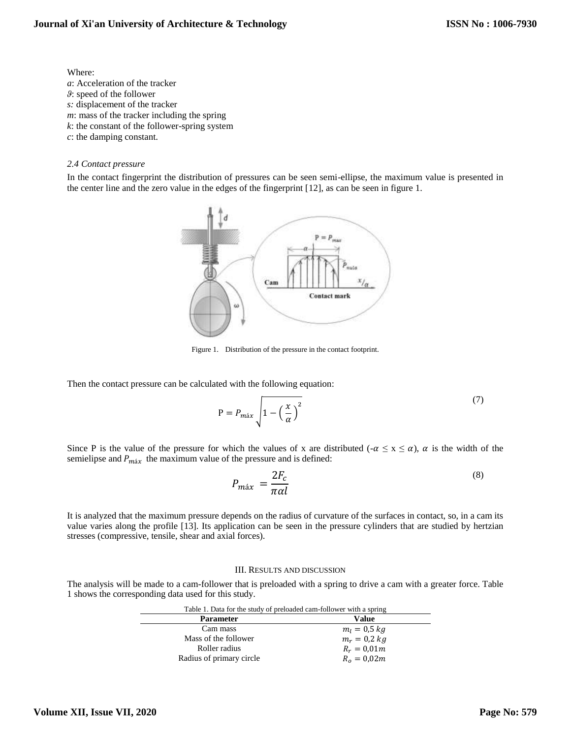## Where:

- *a*: Acceleration of the tracker *ϑ*: speed of the follower *s:* displacement of the tracker *m*: mass of the tracker including the spring *k*: the constant of the follower-spring system
- *c*: the damping constant.

## *2.4 Contact pressure*

In the contact fingerprint the distribution of pressures can be seen semi-ellipse, the maximum value is presented in the center line and the zero value in the edges of the fingerprint [12], as can be seen in figure 1.



Figure 1. Distribution of the pressure in the contact footprint.

Then the contact pressure can be calculated with the following equation:

$$
P = P_{\text{max}} \sqrt{1 - \left(\frac{x}{\alpha}\right)^2} \tag{7}
$$

Since P is the value of the pressure for which the values of x are distributed ( $-\alpha \le x \le \alpha$ ),  $\alpha$  is the width of the semielipse and  $P_{\text{max}}$  the maximum value of the pressure and is defined:

$$
P_{m\acute{a}x} = \frac{2F_c}{\pi \alpha l} \tag{8}
$$

It is analyzed that the maximum pressure depends on the radius of curvature of the surfaces in contact, so, in a cam its value varies along the profile [13]. Its application can be seen in the pressure cylinders that are studied by hertzian stresses (compressive, tensile, shear and axial forces).

## III. RESULTS AND DISCUSSION

The analysis will be made to a cam-follower that is preloaded with a spring to drive a cam with a greater force. Table 1 shows the corresponding data used for this study.

| Table 1. Data for the study of preloaded cam-follower with a spring |                |
|---------------------------------------------------------------------|----------------|
| <b>Parameter</b>                                                    | Value          |
| Cam mass                                                            | $m_l = 0.5 kg$ |
| Mass of the follower                                                | $m_r = 0.2$ kg |
| Roller radius                                                       | $R_r = 0.01m$  |
| Radius of primary circle                                            | $R_o = 0.02m$  |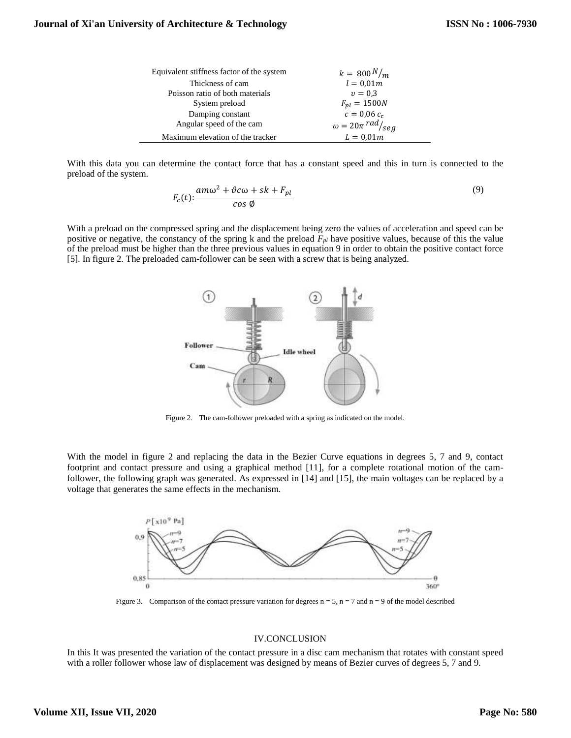| Equivalent stiffness factor of the system | $k = 800 N/m$                      |
|-------------------------------------------|------------------------------------|
| Thickness of cam                          | $l = 0.01m$                        |
| Poisson ratio of both materials           | $v = 0.3$                          |
| System preload                            | $F_{pl} = 1500N$                   |
| Damping constant                          | $c = 0.06 c_c$                     |
| Angular speed of the cam                  | $\omega = 20\pi \frac{rad}{s e g}$ |
| Maximum elevation of the tracker          | $L = 0.01m$                        |

With this data you can determine the contact force that has a constant speed and this in turn is connected to the preload of the system.

$$
F_c(t) : \frac{am\omega^2 + \vartheta c\omega + sk + F_{pl}}{\cos\varphi} \tag{9}
$$

With a preload on the compressed spring and the displacement being zero the values of acceleration and speed can be positive or negative, the constancy of the spring k and the preload *Fpl* have positive values, because of this the value of the preload must be higher than the three previous values in equation 9 in order to obtain the positive contact force [5]. In figure 2. The preloaded cam-follower can be seen with a screw that is being analyzed.



Figure 2. The cam-follower preloaded with a spring as indicated on the model.

With the model in figure 2 and replacing the data in the Bezier Curve equations in degrees 5, 7 and 9, contact footprint and contact pressure and using a graphical method [11], for a complete rotational motion of the camfollower, the following graph was generated. As expressed in [14] and [15], the main voltages can be replaced by a voltage that generates the same effects in the mechanism.



Figure 3. Comparison of the contact pressure variation for degrees  $n = 5$ ,  $n = 7$  and  $n = 9$  of the model described

## IV.CONCLUSION

In this It was presented the variation of the contact pressure in a disc cam mechanism that rotates with constant speed with a roller follower whose law of displacement was designed by means of Bezier curves of degrees 5, 7 and 9.